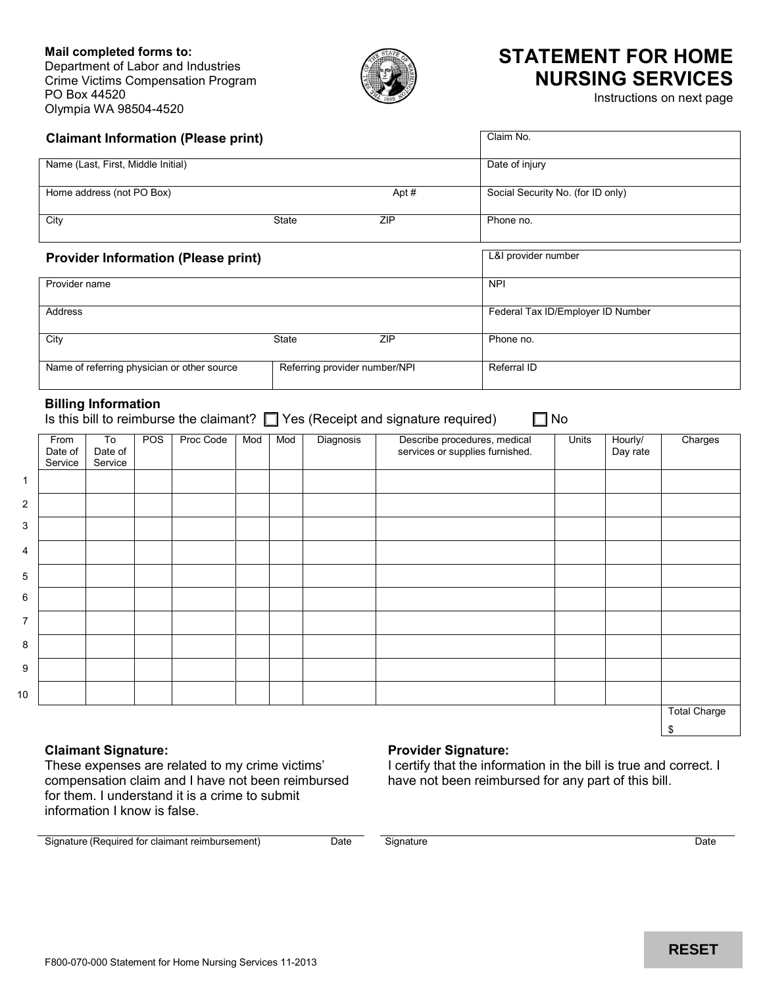### **Mail completed forms to:** Department of Labor and Industries Crime Victims Compensation Program PO Box 44520 Olympia WA 98504-4520



# **STATEMENT FOR HOME NURSING SERVICES**

Instructions on next page

| <b>Claimant Information (Please print)</b>  | Claim No. |                               |                                   |
|---------------------------------------------|-----------|-------------------------------|-----------------------------------|
| Name (Last, First, Middle Initial)          |           |                               | Date of injury                    |
| Home address (not PO Box)                   |           | Apt#                          | Social Security No. (for ID only) |
| City                                        | State     | <b>ZIP</b>                    | Phone no.                         |
| <b>Provider Information (Please print)</b>  |           |                               | L&I provider number               |
|                                             |           |                               |                                   |
| Provider name                               |           |                               | <b>NPI</b>                        |
| <b>Address</b>                              |           |                               | Federal Tax ID/Employer ID Number |
| City                                        | State     | <b>ZIP</b>                    | Phone no.                         |
| Name of referring physician or other source |           | Referring provider number/NPI | Referral ID                       |

### **Billing Information**

Is this bill to reimburse the claimant?  $\Box$  Yes (Receipt and signature required)  $\Box$  No

|                | From<br>Date of<br>Service | To<br>Date of<br>Service | POS | Proc Code | Mod | Mod | Diagnosis | Describe procedures, medical<br>services or supplies furnished. | Units | Hourly/<br>Day rate | Charges             |
|----------------|----------------------------|--------------------------|-----|-----------|-----|-----|-----------|-----------------------------------------------------------------|-------|---------------------|---------------------|
| 1              |                            |                          |     |           |     |     |           |                                                                 |       |                     |                     |
| $\overline{2}$ |                            |                          |     |           |     |     |           |                                                                 |       |                     |                     |
| 3              |                            |                          |     |           |     |     |           |                                                                 |       |                     |                     |
| 4              |                            |                          |     |           |     |     |           |                                                                 |       |                     |                     |
| 5              |                            |                          |     |           |     |     |           |                                                                 |       |                     |                     |
| 6              |                            |                          |     |           |     |     |           |                                                                 |       |                     |                     |
| $\overline{7}$ |                            |                          |     |           |     |     |           |                                                                 |       |                     |                     |
| 8              |                            |                          |     |           |     |     |           |                                                                 |       |                     |                     |
| 9              |                            |                          |     |           |     |     |           |                                                                 |       |                     |                     |
| 10             |                            |                          |     |           |     |     |           |                                                                 |       |                     |                     |
|                |                            |                          |     |           |     |     |           |                                                                 |       |                     | <b>Total Charge</b> |

**Claimant Signature:**

These expenses are related to my crime victims' compensation claim and I have not been reimbursed for them. I understand it is a crime to submit information I know is false.

### Signature (Required for claimant reimbursement) Date Signature Constant of Constant Constant Constant Constant Constant Constant Constant Constant Constant Constant Constant Constant Constant Constant Constant Constant Con

**Provider Signature:**

I certify that the information in the bill is true and correct. I

have not been reimbursed for any part of this bill.

\$